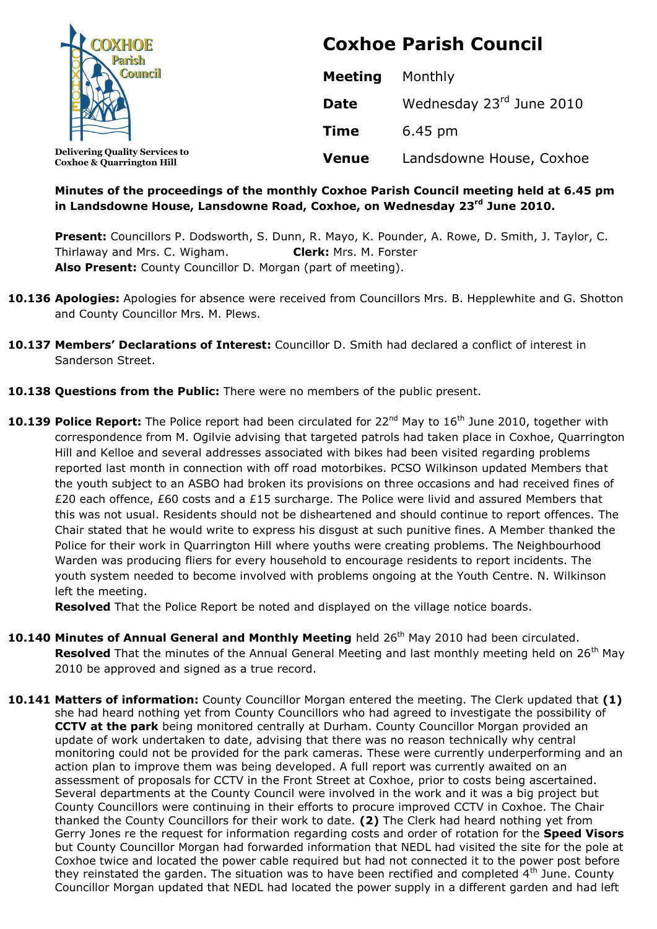| <b>XHOE</b>                                                                   | <b>Coxhoe Parish Council</b> |                          |  |
|-------------------------------------------------------------------------------|------------------------------|--------------------------|--|
|                                                                               | <b>Meeting</b>               | Monthly                  |  |
|                                                                               | <b>Date</b>                  | Wednesday 23rd June 2010 |  |
|                                                                               | <b>Time</b>                  | 6.45 pm                  |  |
| <b>Delivering Quality Services to</b><br><b>Coxhoe &amp; Quarrington Hill</b> | <b>Venue</b>                 | Landsdowne House, Coxhoe |  |

#### **Minutes of the proceedings of the monthly Coxhoe Parish Council meeting held at 6.45 pm in Landsdowne House, Lansdowne Road, Coxhoe, on Wednesday 23rd June 2010.**

**Present:** Councillors P. Dodsworth, S. Dunn, R. Mayo, K. Pounder, A. Rowe, D. Smith, J. Taylor, C. Thirlaway and Mrs. C. Wigham. **Clerk:** Mrs. M. Forster **Also Present:** County Councillor D. Morgan (part of meeting).

- **10.136 Apologies:** Apologies for absence were received from Councillors Mrs. B. Hepplewhite and G. Shotton and County Councillor Mrs. M. Plews.
- **10.137 Members' Declarations of Interest:** Councillor D. Smith had declared a conflict of interest in Sanderson Street.
- **10.138 Questions from the Public:** There were no members of the public present.
- **10.139 Police Report:** The Police report had been circulated for 22<sup>nd</sup> May to 16<sup>th</sup> June 2010, together with correspondence from M. Ogilvie advising that targeted patrols had taken place in Coxhoe, Quarrington Hill and Kelloe and several addresses associated with bikes had been visited regarding problems reported last month in connection with off road motorbikes. PCSO Wilkinson updated Members that the youth subject to an ASBO had broken its provisions on three occasions and had received fines of £20 each offence, £60 costs and a £15 surcharge. The Police were livid and assured Members that this was not usual. Residents should not be disheartened and should continue to report offences. The Chair stated that he would write to express his disgust at such punitive fines. A Member thanked the Police for their work in Quarrington Hill where youths were creating problems. The Neighbourhood Warden was producing fliers for every household to encourage residents to report incidents. The youth system needed to become involved with problems ongoing at the Youth Centre. N. Wilkinson left the meeting.

**Resolved** That the Police Report be noted and displayed on the village notice boards.

- 10.140 Minutes of Annual General and Monthly Meeting held 26<sup>th</sup> May 2010 had been circulated. **Resolved** That the minutes of the Annual General Meeting and last monthly meeting held on 26<sup>th</sup> May 2010 be approved and signed as a true record.
- **10.141 Matters of information:** County Councillor Morgan entered the meeting. The Clerk updated that **(1)** she had heard nothing yet from County Councillors who had agreed to investigate the possibility of **CCTV at the park** being monitored centrally at Durham. County Councillor Morgan provided an update of work undertaken to date, advising that there was no reason technically why central monitoring could not be provided for the park cameras. These were currently underperforming and an action plan to improve them was being developed. A full report was currently awaited on an assessment of proposals for CCTV in the Front Street at Coxhoe, prior to costs being ascertained. Several departments at the County Council were involved in the work and it was a big project but County Councillors were continuing in their efforts to procure improved CCTV in Coxhoe. The Chair thanked the County Councillors for their work to date. **(2)** The Clerk had heard nothing yet from Gerry Jones re the request for information regarding costs and order of rotation for the **Speed Visors** but County Councillor Morgan had forwarded information that NEDL had visited the site for the pole at Coxhoe twice and located the power cable required but had not connected it to the power post before they reinstated the garden. The situation was to have been rectified and completed  $4<sup>th</sup>$  June. County Councillor Morgan updated that NEDL had located the power supply in a different garden and had left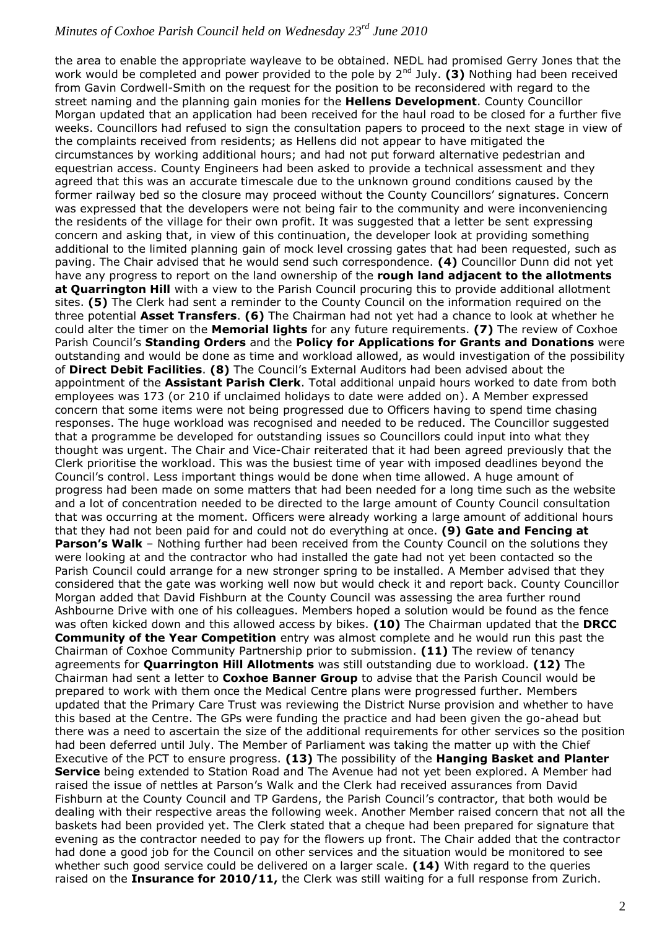the area to enable the appropriate wayleave to be obtained. NEDL had promised Gerry Jones that the work would be completed and power provided to the pole by 2<sup>nd</sup> July. (3) Nothing had been received from Gavin Cordwell-Smith on the request for the position to be reconsidered with regard to the street naming and the planning gain monies for the **Hellens Development**. County Councillor Morgan updated that an application had been received for the haul road to be closed for a further five weeks. Councillors had refused to sign the consultation papers to proceed to the next stage in view of the complaints received from residents; as Hellens did not appear to have mitigated the circumstances by working additional hours; and had not put forward alternative pedestrian and equestrian access. County Engineers had been asked to provide a technical assessment and they agreed that this was an accurate timescale due to the unknown ground conditions caused by the former railway bed so the closure may proceed without the County Councillors' signatures. Concern was expressed that the developers were not being fair to the community and were inconveniencing the residents of the village for their own profit. It was suggested that a letter be sent expressing concern and asking that, in view of this continuation, the developer look at providing something additional to the limited planning gain of mock level crossing gates that had been requested, such as paving. The Chair advised that he would send such correspondence. **(4)** Councillor Dunn did not yet have any progress to report on the land ownership of the **rough land adjacent to the allotments at Quarrington Hill** with a view to the Parish Council procuring this to provide additional allotment sites. **(5)** The Clerk had sent a reminder to the County Council on the information required on the three potential **Asset Transfers**. **(6)** The Chairman had not yet had a chance to look at whether he could alter the timer on the **Memorial lights** for any future requirements. **(7)** The review of Coxhoe Parish Council's **Standing Orders** and the **Policy for Applications for Grants and Donations** were outstanding and would be done as time and workload allowed, as would investigation of the possibility of **Direct Debit Facilities**. **(8)** The Council's External Auditors had been advised about the appointment of the **Assistant Parish Clerk**. Total additional unpaid hours worked to date from both employees was 173 (or 210 if unclaimed holidays to date were added on). A Member expressed concern that some items were not being progressed due to Officers having to spend time chasing responses. The huge workload was recognised and needed to be reduced. The Councillor suggested that a programme be developed for outstanding issues so Councillors could input into what they thought was urgent. The Chair and Vice-Chair reiterated that it had been agreed previously that the Clerk prioritise the workload. This was the busiest time of year with imposed deadlines beyond the Council's control. Less important things would be done when time allowed. A huge amount of progress had been made on some matters that had been needed for a long time such as the website and a lot of concentration needed to be directed to the large amount of County Council consultation that was occurring at the moment. Officers were already working a large amount of additional hours that they had not been paid for and could not do everything at once. **(9) Gate and Fencing at Parson's Walk** – Nothing further had been received from the County Council on the solutions they were looking at and the contractor who had installed the gate had not yet been contacted so the Parish Council could arrange for a new stronger spring to be installed. A Member advised that they considered that the gate was working well now but would check it and report back. County Councillor Morgan added that David Fishburn at the County Council was assessing the area further round Ashbourne Drive with one of his colleagues. Members hoped a solution would be found as the fence was often kicked down and this allowed access by bikes. **(10)** The Chairman updated that the **DRCC Community of the Year Competition** entry was almost complete and he would run this past the Chairman of Coxhoe Community Partnership prior to submission. **(11)** The review of tenancy agreements for **Quarrington Hill Allotments** was still outstanding due to workload. **(12)** The Chairman had sent a letter to **Coxhoe Banner Group** to advise that the Parish Council would be prepared to work with them once the Medical Centre plans were progressed further. Members updated that the Primary Care Trust was reviewing the District Nurse provision and whether to have this based at the Centre. The GPs were funding the practice and had been given the go-ahead but there was a need to ascertain the size of the additional requirements for other services so the position had been deferred until July. The Member of Parliament was taking the matter up with the Chief Executive of the PCT to ensure progress. **(13)** The possibility of the **Hanging Basket and Planter Service** being extended to Station Road and The Avenue had not yet been explored. A Member had raised the issue of nettles at Parson's Walk and the Clerk had received assurances from David Fishburn at the County Council and TP Gardens, the Parish Council's contractor, that both would be dealing with their respective areas the following week. Another Member raised concern that not all the baskets had been provided yet. The Clerk stated that a cheque had been prepared for signature that evening as the contractor needed to pay for the flowers up front. The Chair added that the contractor had done a good job for the Council on other services and the situation would be monitored to see whether such good service could be delivered on a larger scale. **(14)** With regard to the queries raised on the **Insurance for 2010/11,** the Clerk was still waiting for a full response from Zurich.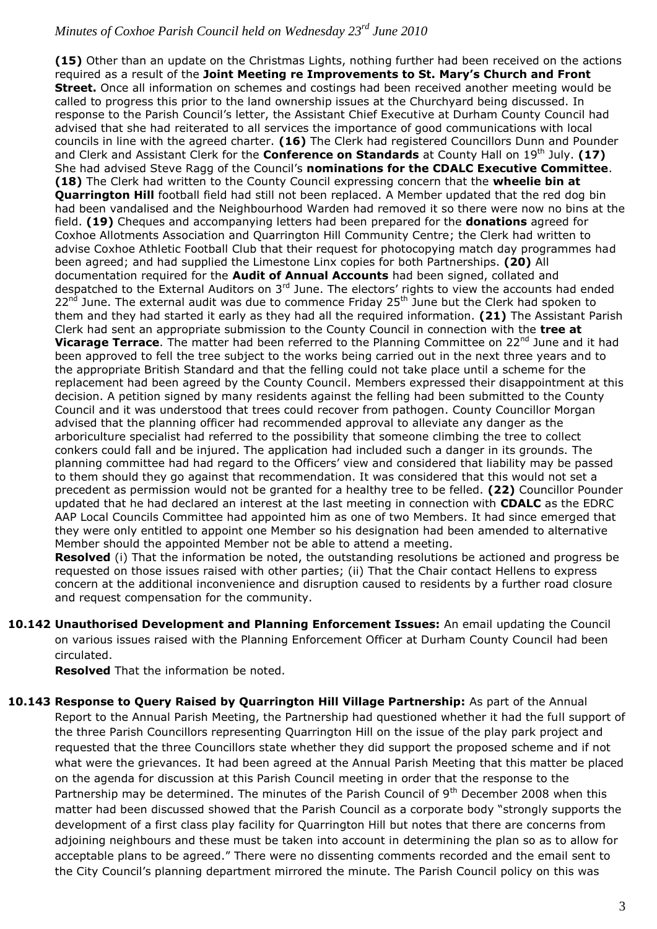**(15)** Other than an update on the Christmas Lights, nothing further had been received on the actions required as a result of the **Joint Meeting re Improvements to St. Mary's Church and Front Street.** Once all information on schemes and costings had been received another meeting would be called to progress this prior to the land ownership issues at the Churchyard being discussed. In response to the Parish Council's letter, the Assistant Chief Executive at Durham County Council had advised that she had reiterated to all services the importance of good communications with local councils in line with the agreed charter. **(16)** The Clerk had registered Councillors Dunn and Pounder and Clerk and Assistant Clerk for the **Conference on Standards** at County Hall on 19<sup>th</sup> July. **(17)** She had advised Steve Ragg of the Council's **nominations for the CDALC Executive Committee**. **(18)** The Clerk had written to the County Council expressing concern that the **wheelie bin at Quarrington Hill** football field had still not been replaced. A Member updated that the red dog bin had been vandalised and the Neighbourhood Warden had removed it so there were now no bins at the field. **(19)** Cheques and accompanying letters had been prepared for the **donations** agreed for Coxhoe Allotments Association and Quarrington Hill Community Centre; the Clerk had written to advise Coxhoe Athletic Football Club that their request for photocopying match day programmes had been agreed; and had supplied the Limestone Linx copies for both Partnerships. **(20)** All documentation required for the **Audit of Annual Accounts** had been signed, collated and despatched to the External Auditors on 3<sup>rd</sup> June. The electors' rights to view the accounts had ended  $22<sup>nd</sup>$  June. The external audit was due to commence Friday  $25<sup>th</sup>$  June but the Clerk had spoken to them and they had started it early as they had all the required information. **(21)** The Assistant Parish Clerk had sent an appropriate submission to the County Council in connection with the **tree at**  Vicarage Terrace. The matter had been referred to the Planning Committee on 22<sup>nd</sup> June and it had been approved to fell the tree subject to the works being carried out in the next three years and to the appropriate British Standard and that the felling could not take place until a scheme for the replacement had been agreed by the County Council. Members expressed their disappointment at this decision. A petition signed by many residents against the felling had been submitted to the County Council and it was understood that trees could recover from pathogen. County Councillor Morgan advised that the planning officer had recommended approval to alleviate any danger as the arboriculture specialist had referred to the possibility that someone climbing the tree to collect conkers could fall and be injured. The application had included such a danger in its grounds. The planning committee had had regard to the Officers' view and considered that liability may be passed to them should they go against that recommendation. It was considered that this would not set a precedent as permission would not be granted for a healthy tree to be felled. **(22)** Councillor Pounder updated that he had declared an interest at the last meeting in connection with **CDALC** as the EDRC AAP Local Councils Committee had appointed him as one of two Members. It had since emerged that they were only entitled to appoint one Member so his designation had been amended to alternative Member should the appointed Member not be able to attend a meeting.

**Resolved** (i) That the information be noted, the outstanding resolutions be actioned and progress be requested on those issues raised with other parties; (ii) That the Chair contact Hellens to express concern at the additional inconvenience and disruption caused to residents by a further road closure and request compensation for the community.

**10.142 Unauthorised Development and Planning Enforcement Issues:** An email updating the Council on various issues raised with the Planning Enforcement Officer at Durham County Council had been circulated.

**Resolved** That the information be noted.

10.143 Response to Query Raised by Quarrington Hill Village Partnership: As part of the Annual Report to the Annual Parish Meeting, the Partnership had questioned whether it had the full support of the three Parish Councillors representing Quarrington Hill on the issue of the play park project and requested that the three Councillors state whether they did support the proposed scheme and if not what were the grievances. It had been agreed at the Annual Parish Meeting that this matter be placed on the agenda for discussion at this Parish Council meeting in order that the response to the Partnership may be determined. The minutes of the Parish Council of  $9<sup>th</sup>$  December 2008 when this matter had been discussed showed that the Parish Council as a corporate body "strongly supports the development of a first class play facility for Quarrington Hill but notes that there are concerns from adjoining neighbours and these must be taken into account in determining the plan so as to allow for acceptable plans to be agreed." There were no dissenting comments recorded and the email sent to the City Council's planning department mirrored the minute. The Parish Council policy on this was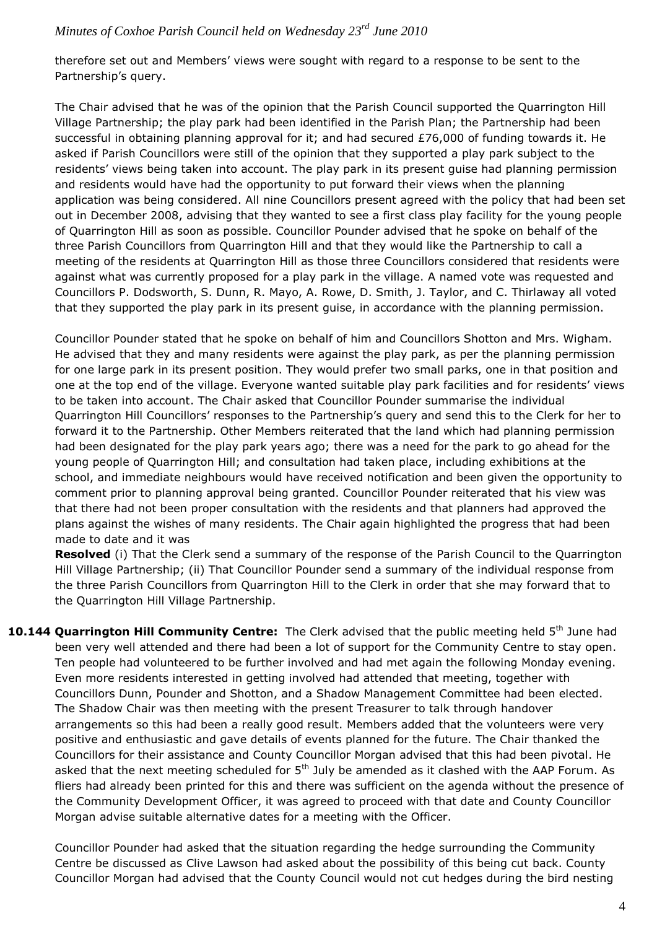therefore set out and Members' views were sought with regard to a response to be sent to the Partnership's query.

The Chair advised that he was of the opinion that the Parish Council supported the Quarrington Hill Village Partnership; the play park had been identified in the Parish Plan; the Partnership had been successful in obtaining planning approval for it; and had secured £76,000 of funding towards it. He asked if Parish Councillors were still of the opinion that they supported a play park subject to the residents' views being taken into account. The play park in its present guise had planning permission and residents would have had the opportunity to put forward their views when the planning application was being considered. All nine Councillors present agreed with the policy that had been set out in December 2008, advising that they wanted to see a first class play facility for the young people of Quarrington Hill as soon as possible. Councillor Pounder advised that he spoke on behalf of the three Parish Councillors from Quarrington Hill and that they would like the Partnership to call a meeting of the residents at Quarrington Hill as those three Councillors considered that residents were against what was currently proposed for a play park in the village. A named vote was requested and Councillors P. Dodsworth, S. Dunn, R. Mayo, A. Rowe, D. Smith, J. Taylor, and C. Thirlaway all voted that they supported the play park in its present guise, in accordance with the planning permission.

Councillor Pounder stated that he spoke on behalf of him and Councillors Shotton and Mrs. Wigham. He advised that they and many residents were against the play park, as per the planning permission for one large park in its present position. They would prefer two small parks, one in that position and one at the top end of the village. Everyone wanted suitable play park facilities and for residents' views to be taken into account. The Chair asked that Councillor Pounder summarise the individual Quarrington Hill Councillors' responses to the Partnership's query and send this to the Clerk for her to forward it to the Partnership. Other Members reiterated that the land which had planning permission had been designated for the play park years ago; there was a need for the park to go ahead for the young people of Quarrington Hill; and consultation had taken place, including exhibitions at the school, and immediate neighbours would have received notification and been given the opportunity to comment prior to planning approval being granted. Councillor Pounder reiterated that his view was that there had not been proper consultation with the residents and that planners had approved the plans against the wishes of many residents. The Chair again highlighted the progress that had been made to date and it was

**Resolved** (i) That the Clerk send a summary of the response of the Parish Council to the Quarrington Hill Village Partnership; (ii) That Councillor Pounder send a summary of the individual response from the three Parish Councillors from Quarrington Hill to the Clerk in order that she may forward that to the Quarrington Hill Village Partnership.

10.144 Quarrington Hill Community Centre: The Clerk advised that the public meeting held 5<sup>th</sup> June had been very well attended and there had been a lot of support for the Community Centre to stay open. Ten people had volunteered to be further involved and had met again the following Monday evening. Even more residents interested in getting involved had attended that meeting, together with Councillors Dunn, Pounder and Shotton, and a Shadow Management Committee had been elected. The Shadow Chair was then meeting with the present Treasurer to talk through handover arrangements so this had been a really good result. Members added that the volunteers were very positive and enthusiastic and gave details of events planned for the future. The Chair thanked the Councillors for their assistance and County Councillor Morgan advised that this had been pivotal. He asked that the next meeting scheduled for  $5<sup>th</sup>$  July be amended as it clashed with the AAP Forum. As fliers had already been printed for this and there was sufficient on the agenda without the presence of the Community Development Officer, it was agreed to proceed with that date and County Councillor Morgan advise suitable alternative dates for a meeting with the Officer.

Councillor Pounder had asked that the situation regarding the hedge surrounding the Community Centre be discussed as Clive Lawson had asked about the possibility of this being cut back. County Councillor Morgan had advised that the County Council would not cut hedges during the bird nesting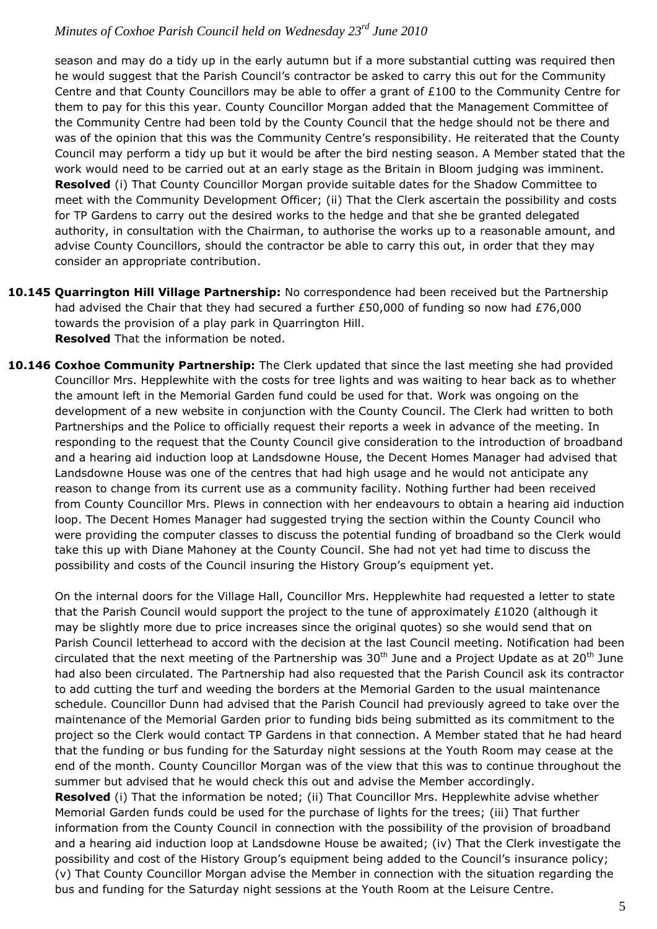season and may do a tidy up in the early autumn but if a more substantial cutting was required then he would suggest that the Parish Council's contractor be asked to carry this out for the Community Centre and that County Councillors may be able to offer a grant of £100 to the Community Centre for them to pay for this this year. County Councillor Morgan added that the Management Committee of the Community Centre had been told by the County Council that the hedge should not be there and was of the opinion that this was the Community Centre's responsibility. He reiterated that the County Council may perform a tidy up but it would be after the bird nesting season. A Member stated that the work would need to be carried out at an early stage as the Britain in Bloom judging was imminent. **Resolved** (i) That County Councillor Morgan provide suitable dates for the Shadow Committee to meet with the Community Development Officer; (ii) That the Clerk ascertain the possibility and costs for TP Gardens to carry out the desired works to the hedge and that she be granted delegated authority, in consultation with the Chairman, to authorise the works up to a reasonable amount, and advise County Councillors, should the contractor be able to carry this out, in order that they may consider an appropriate contribution.

- **10.145 Quarrington Hill Village Partnership:** No correspondence had been received but the Partnership had advised the Chair that they had secured a further £50,000 of funding so now had £76,000 towards the provision of a play park in Quarrington Hill. **Resolved** That the information be noted.
- **10.146 Coxhoe Community Partnership:** The Clerk updated that since the last meeting she had provided Councillor Mrs. Hepplewhite with the costs for tree lights and was waiting to hear back as to whether the amount left in the Memorial Garden fund could be used for that. Work was ongoing on the development of a new website in conjunction with the County Council. The Clerk had written to both Partnerships and the Police to officially request their reports a week in advance of the meeting. In responding to the request that the County Council give consideration to the introduction of broadband and a hearing aid induction loop at Landsdowne House, the Decent Homes Manager had advised that Landsdowne House was one of the centres that had high usage and he would not anticipate any reason to change from its current use as a community facility. Nothing further had been received from County Councillor Mrs. Plews in connection with her endeavours to obtain a hearing aid induction loop. The Decent Homes Manager had suggested trying the section within the County Council who were providing the computer classes to discuss the potential funding of broadband so the Clerk would take this up with Diane Mahoney at the County Council. She had not yet had time to discuss the possibility and costs of the Council insuring the History Group's equipment yet.

On the internal doors for the Village Hall, Councillor Mrs. Hepplewhite had requested a letter to state that the Parish Council would support the project to the tune of approximately £1020 (although it may be slightly more due to price increases since the original quotes) so she would send that on Parish Council letterhead to accord with the decision at the last Council meeting. Notification had been circulated that the next meeting of the Partnership was  $30<sup>th</sup>$  June and a Project Update as at  $20<sup>th</sup>$  June had also been circulated. The Partnership had also requested that the Parish Council ask its contractor to add cutting the turf and weeding the borders at the Memorial Garden to the usual maintenance schedule. Councillor Dunn had advised that the Parish Council had previously agreed to take over the maintenance of the Memorial Garden prior to funding bids being submitted as its commitment to the project so the Clerk would contact TP Gardens in that connection. A Member stated that he had heard that the funding or bus funding for the Saturday night sessions at the Youth Room may cease at the end of the month. County Councillor Morgan was of the view that this was to continue throughout the summer but advised that he would check this out and advise the Member accordingly. **Resolved** (i) That the information be noted; (ii) That Councillor Mrs. Hepplewhite advise whether Memorial Garden funds could be used for the purchase of lights for the trees; (iii) That further information from the County Council in connection with the possibility of the provision of broadband and a hearing aid induction loop at Landsdowne House be awaited; (iv) That the Clerk investigate the possibility and cost of the History Group's equipment being added to the Council's insurance policy; (v) That County Councillor Morgan advise the Member in connection with the situation regarding the bus and funding for the Saturday night sessions at the Youth Room at the Leisure Centre.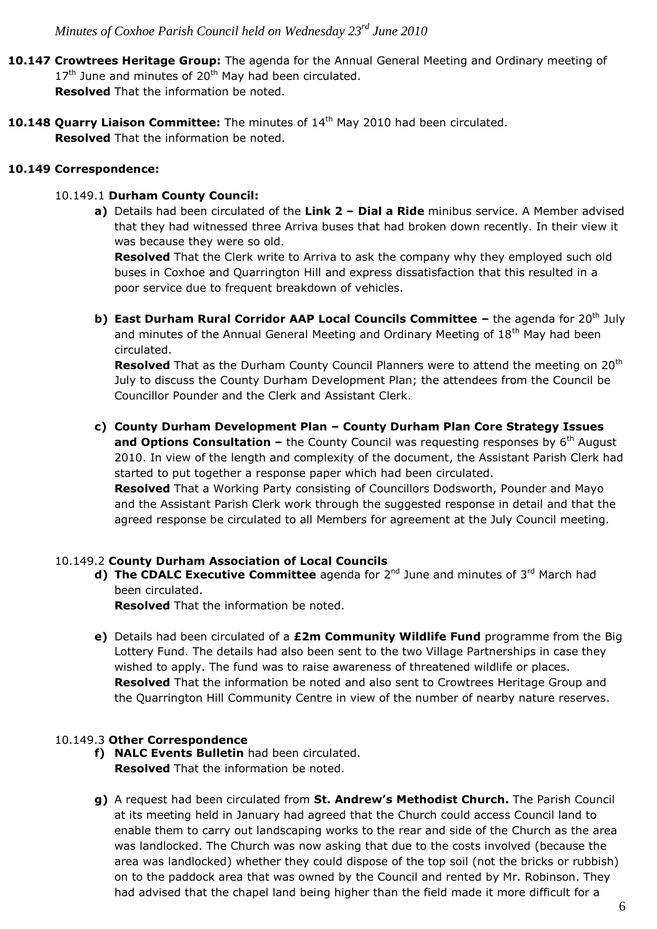**10.147 Crowtrees Heritage Group:** The agenda for the Annual General Meeting and Ordinary meeting of  $17<sup>th</sup>$  June and minutes of 20<sup>th</sup> May had been circulated.

**Resolved** That the information be noted.

10.148 Quarry Liaison Committee: The minutes of 14<sup>th</sup> May 2010 had been circulated. **Resolved** That the information be noted.

### **10.149 Correspondence:**

# 10.149.1 **Durham County Council:**

**a)** Details had been circulated of the **Link 2 – Dial a Ride** minibus service. A Member advised that they had witnessed three Arriva buses that had broken down recently. In their view it was because they were so old.

**Resolved** That the Clerk write to Arriva to ask the company why they employed such old buses in Coxhoe and Quarrington Hill and express dissatisfaction that this resulted in a poor service due to frequent breakdown of vehicles.

**b)** East Durham Rural Corridor AAP Local Councils Committee - the agenda for 20<sup>th</sup> July and minutes of the Annual General Meeting and Ordinary Meeting of 18<sup>th</sup> May had been circulated.

**Resolved** That as the Durham County Council Planners were to attend the meeting on 20<sup>th</sup> July to discuss the County Durham Development Plan; the attendees from the Council be Councillor Pounder and the Clerk and Assistant Clerk.

**c) County Durham Development Plan – County Durham Plan Core Strategy Issues and Options Consultation –** the County Council was requesting responses by 6<sup>th</sup> August 2010. In view of the length and complexity of the document, the Assistant Parish Clerk had started to put together a response paper which had been circulated. **Resolved** That a Working Party consisting of Councillors Dodsworth, Pounder and Mayo and the Assistant Parish Clerk work through the suggested response in detail and that the agreed response be circulated to all Members for agreement at the July Council meeting.

# 10.149.2 **County Durham Association of Local Councils**

**d) The CDALC Executive Committee** agenda for 2<sup>nd</sup> June and minutes of 3<sup>rd</sup> March had been circulated.

**Resolved** That the information be noted.

**e)** Details had been circulated of a **£2m Community Wildlife Fund** programme from the Big Lottery Fund. The details had also been sent to the two Village Partnerships in case they wished to apply. The fund was to raise awareness of threatened wildlife or places. **Resolved** That the information be noted and also sent to Crowtrees Heritage Group and the Quarrington Hill Community Centre in view of the number of nearby nature reserves.

# 10.149.3 **Other Correspondence**

- **f) NALC Events Bulletin** had been circulated. **Resolved** That the information be noted.
- **g)** A request had been circulated from **St. Andrew's Methodist Church.** The Parish Council at its meeting held in January had agreed that the Church could access Council land to enable them to carry out landscaping works to the rear and side of the Church as the area was landlocked. The Church was now asking that due to the costs involved (because the area was landlocked) whether they could dispose of the top soil (not the bricks or rubbish) on to the paddock area that was owned by the Council and rented by Mr. Robinson. They had advised that the chapel land being higher than the field made it more difficult for a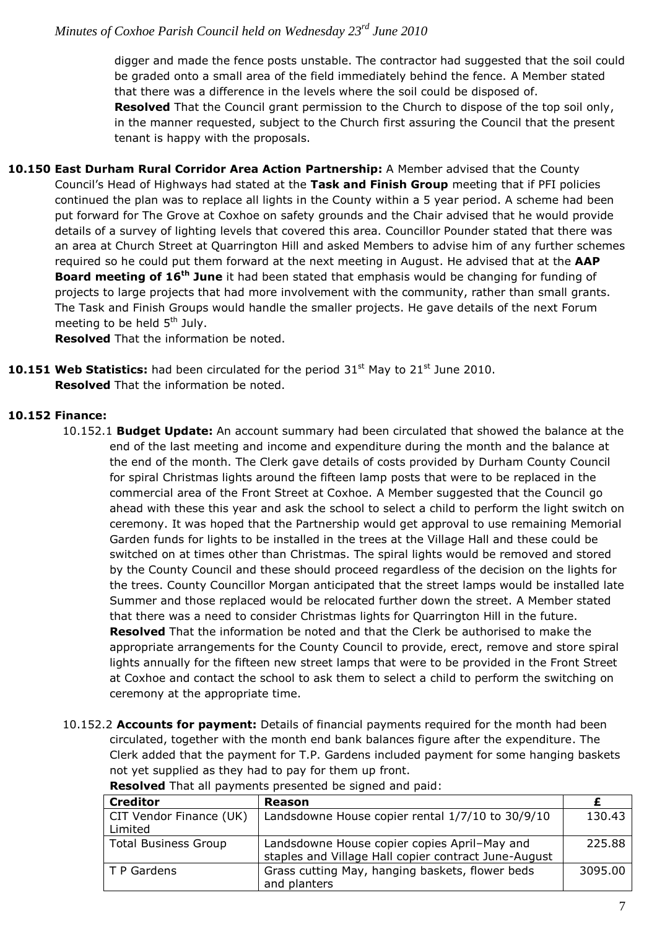digger and made the fence posts unstable. The contractor had suggested that the soil could be graded onto a small area of the field immediately behind the fence. A Member stated that there was a difference in the levels where the soil could be disposed of. **Resolved** That the Council grant permission to the Church to dispose of the top soil only, in the manner requested, subject to the Church first assuring the Council that the present tenant is happy with the proposals.

**10.150 East Durham Rural Corridor Area Action Partnership:** A Member advised that the County Council's Head of Highways had stated at the **Task and Finish Group** meeting that if PFI policies continued the plan was to replace all lights in the County within a 5 year period. A scheme had been put forward for The Grove at Coxhoe on safety grounds and the Chair advised that he would provide details of a survey of lighting levels that covered this area. Councillor Pounder stated that there was an area at Church Street at Quarrington Hill and asked Members to advise him of any further schemes required so he could put them forward at the next meeting in August. He advised that at the **AAP Board meeting of 16th June** it had been stated that emphasis would be changing for funding of projects to large projects that had more involvement with the community, rather than small grants. The Task and Finish Groups would handle the smaller projects. He gave details of the next Forum meeting to be held  $5<sup>th</sup>$  July.

**Resolved** That the information be noted.

**10.151 Web Statistics:** had been circulated for the period 31<sup>st</sup> May to 21<sup>st</sup> June 2010. **Resolved** That the information be noted.

#### **10.152 Finance:**

- 10.152.1 **Budget Update:** An account summary had been circulated that showed the balance at the end of the last meeting and income and expenditure during the month and the balance at the end of the month. The Clerk gave details of costs provided by Durham County Council for spiral Christmas lights around the fifteen lamp posts that were to be replaced in the commercial area of the Front Street at Coxhoe. A Member suggested that the Council go ahead with these this year and ask the school to select a child to perform the light switch on ceremony. It was hoped that the Partnership would get approval to use remaining Memorial Garden funds for lights to be installed in the trees at the Village Hall and these could be switched on at times other than Christmas. The spiral lights would be removed and stored by the County Council and these should proceed regardless of the decision on the lights for the trees. County Councillor Morgan anticipated that the street lamps would be installed late Summer and those replaced would be relocated further down the street. A Member stated that there was a need to consider Christmas lights for Quarrington Hill in the future. **Resolved** That the information be noted and that the Clerk be authorised to make the appropriate arrangements for the County Council to provide, erect, remove and store spiral lights annually for the fifteen new street lamps that were to be provided in the Front Street at Coxhoe and contact the school to ask them to select a child to perform the switching on ceremony at the appropriate time.
- 10.152.2 **Accounts for payment:** Details of financial payments required for the month had been circulated, together with the month end bank balances figure after the expenditure. The Clerk added that the payment for T.P. Gardens included payment for some hanging baskets not yet supplied as they had to pay for them up front.

| <b>Creditor</b>             | <b>Reason</b>                                        |         |
|-----------------------------|------------------------------------------------------|---------|
| CIT Vendor Finance (UK)     | Landsdowne House copier rental 1/7/10 to 30/9/10     | 130.43  |
| Limited                     |                                                      |         |
| <b>Total Business Group</b> | Landsdowne House copier copies April-May and         | 225.88  |
|                             | staples and Village Hall copier contract June-August |         |
| T P Gardens                 | Grass cutting May, hanging baskets, flower beds      | 3095.00 |
|                             | and planters                                         |         |

**Resolved** That all payments presented be signed and paid: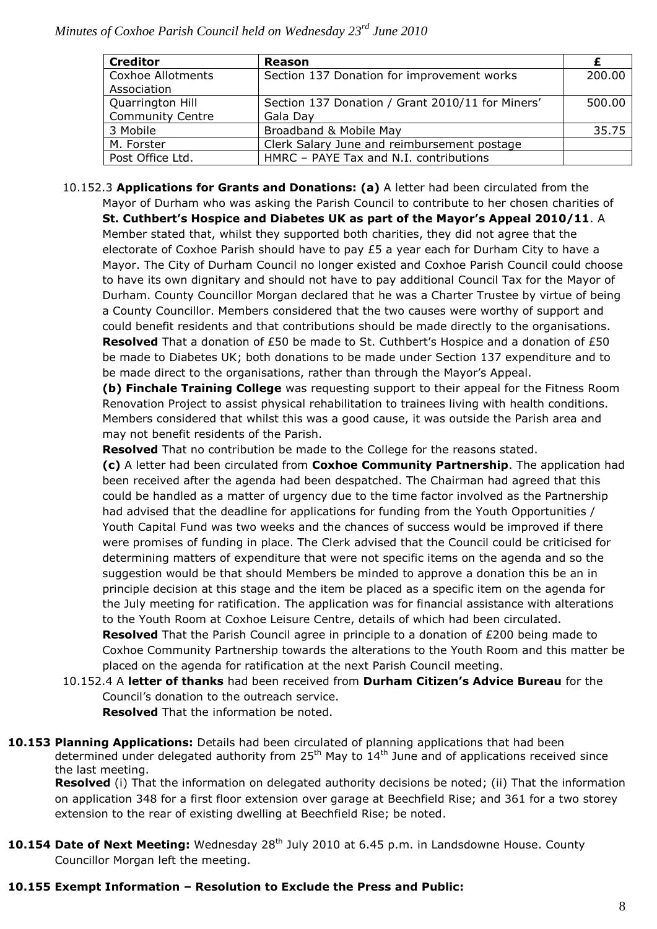| <b>Creditor</b>          | Reason                                           |        |
|--------------------------|--------------------------------------------------|--------|
| <b>Coxhoe Allotments</b> | Section 137 Donation for improvement works       | 200.00 |
| Association              |                                                  |        |
| Quarrington Hill         | Section 137 Donation / Grant 2010/11 for Miners' | 500.00 |
| <b>Community Centre</b>  | Gala Day                                         |        |
| 3 Mobile                 | Broadband & Mobile May                           | 35.75  |
| M. Forster               | Clerk Salary June and reimbursement postage      |        |
| Post Office Ltd.         | HMRC - PAYE Tax and N.I. contributions           |        |

10.152.3 **Applications for Grants and Donations: (a)** A letter had been circulated from the Mayor of Durham who was asking the Parish Council to contribute to her chosen charities of

**St. Cuthbert's Hospice and Diabetes UK as part of the Mayor's Appeal 2010/11**. A Member stated that, whilst they supported both charities, they did not agree that the electorate of Coxhoe Parish should have to pay  $£5$  a year each for Durham City to have a Mayor. The City of Durham Council no longer existed and Coxhoe Parish Council could choose to have its own dignitary and should not have to pay additional Council Tax for the Mayor of Durham. County Councillor Morgan declared that he was a Charter Trustee by virtue of being a County Councillor. Members considered that the two causes were worthy of support and could benefit residents and that contributions should be made directly to the organisations. **Resolved** That a donation of £50 be made to St. Cuthbert's Hospice and a donation of £50 be made to Diabetes UK; both donations to be made under Section 137 expenditure and to be made direct to the organisations, rather than through the Mayor's Appeal.

**(b) Finchale Training College** was requesting support to their appeal for the Fitness Room Renovation Project to assist physical rehabilitation to trainees living with health conditions. Members considered that whilst this was a good cause, it was outside the Parish area and may not benefit residents of the Parish.

**Resolved** That no contribution be made to the College for the reasons stated.

**(c)** A letter had been circulated from **Coxhoe Community Partnership**. The application had been received after the agenda had been despatched. The Chairman had agreed that this could be handled as a matter of urgency due to the time factor involved as the Partnership had advised that the deadline for applications for funding from the Youth Opportunities / Youth Capital Fund was two weeks and the chances of success would be improved if there were promises of funding in place. The Clerk advised that the Council could be criticised for determining matters of expenditure that were not specific items on the agenda and so the suggestion would be that should Members be minded to approve a donation this be an in principle decision at this stage and the item be placed as a specific item on the agenda for the July meeting for ratification. The application was for financial assistance with alterations to the Youth Room at Coxhoe Leisure Centre, details of which had been circulated. **Resolved** That the Parish Council agree in principle to a donation of £200 being made to

Coxhoe Community Partnership towards the alterations to the Youth Room and this matter be placed on the agenda for ratification at the next Parish Council meeting.

10.152.4 A **letter of thanks** had been received from **Durham Citizen's Advice Bureau** for the Council's donation to the outreach service.

**Resolved** That the information be noted.

**10.153 Planning Applications:** Details had been circulated of planning applications that had been determined under delegated authority from  $25<sup>th</sup>$  May to  $14<sup>th</sup>$  June and of applications received since the last meeting.

**Resolved** (i) That the information on delegated authority decisions be noted; (ii) That the information on application 348 for a first floor extension over garage at Beechfield Rise; and 361 for a two storey extension to the rear of existing dwelling at Beechfield Rise; be noted.

10.154 Date of Next Meeting: Wednesday 28<sup>th</sup> July 2010 at 6.45 p.m. in Landsdowne House. County Councillor Morgan left the meeting.

#### **10.155 Exempt Information – Resolution to Exclude the Press and Public:**